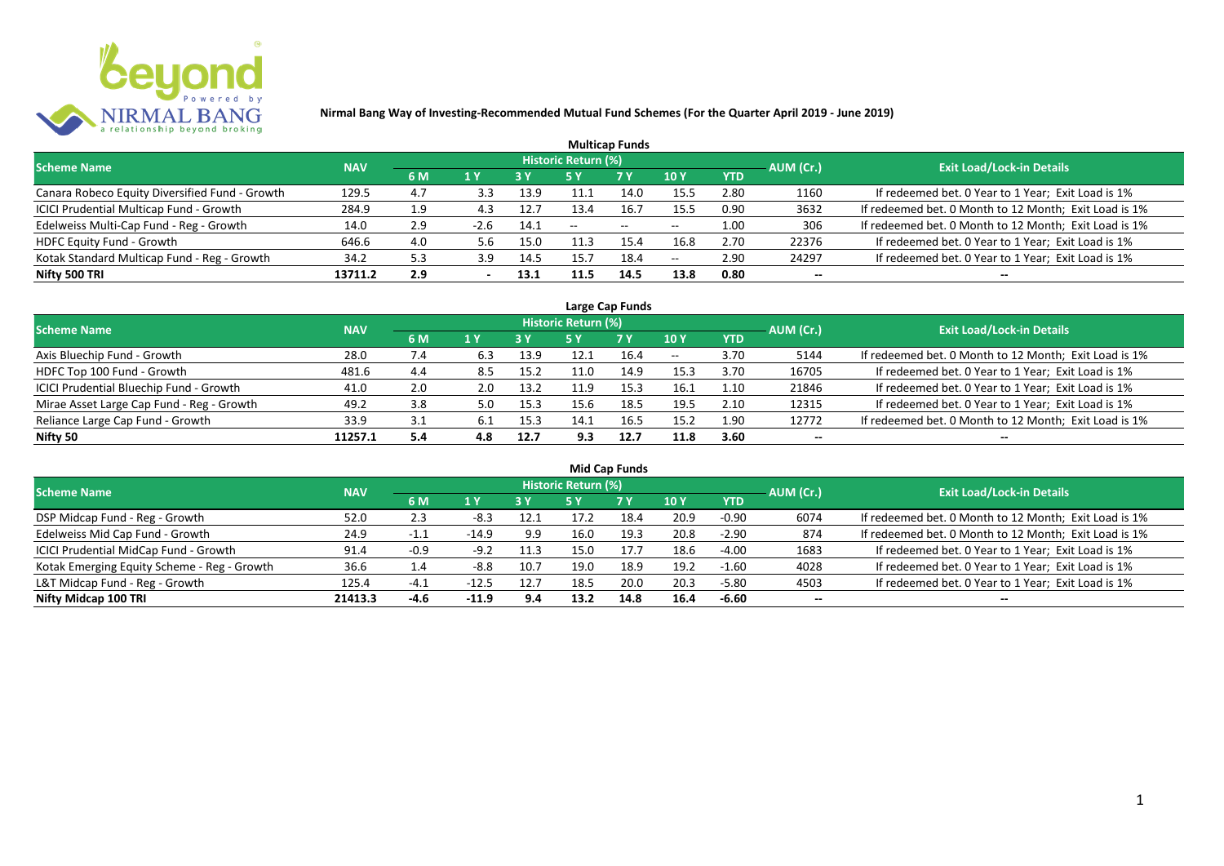

| <b>Multicap Funds</b>                          |            |     |        |           |                            |       |                          |            |           |                                                       |  |  |  |  |
|------------------------------------------------|------------|-----|--------|-----------|----------------------------|-------|--------------------------|------------|-----------|-------------------------------------------------------|--|--|--|--|
| <b>Scheme Name</b>                             | <b>NAV</b> |     |        |           | <b>Historic Return (%)</b> |       |                          |            | AUM (Cr.) | <b>Exit Load/Lock-in Details</b>                      |  |  |  |  |
|                                                |            | 6 M | 1 Y    | <b>3Y</b> |                            | 7 Y   | <b>10Y</b>               | <b>YTD</b> |           |                                                       |  |  |  |  |
| Canara Robeco Equity Diversified Fund - Growth | 129.5      | 4.7 | 3.3    | 13.9      | 11.1                       | 14.0  | 15.5                     | 2.80       | 1160      | If redeemed bet. 0 Year to 1 Year; Exit Load is 1%    |  |  |  |  |
| ICICI Prudential Multicap Fund - Growth        | 284.9      | 1.9 | 4.3    | 12.7      | 13.4                       | 16.7  | 15.5                     | 0.90       | 3632      | If redeemed bet. 0 Month to 12 Month; Exit Load is 1% |  |  |  |  |
| Edelweiss Multi-Cap Fund - Reg - Growth        | 14.0       | 2.9 | $-2.6$ | 14.1      | $- -$                      | $- -$ | $\overline{\phantom{a}}$ | 1.00       | 306       | If redeemed bet. 0 Month to 12 Month; Exit Load is 1% |  |  |  |  |
| HDFC Equity Fund - Growth                      | 646.6      | 4.0 | 5.6    | 15.0      | 11.3                       | 15.4  | 16.8                     | 2.70       | 22376     | If redeemed bet. 0 Year to 1 Year; Exit Load is 1%    |  |  |  |  |
| Kotak Standard Multicap Fund - Reg - Growth    | 34.2       | 5.3 | 3.9    | 14.5      | 15.7                       | 18.4  | $-$                      | 2.90       | 24297     | If redeemed bet. 0 Year to 1 Year; Exit Load is 1%    |  |  |  |  |
| Nifty 500 TRI                                  | 13711.2    | 2.9 |        | 13.1      | 11.5                       | 14.5  | 13.8                     | 0.80       | $- -$     | --                                                    |  |  |  |  |

| Large Cap Funds                           |            |             |     |      |                            |           |       |            |           |                                                       |  |  |  |
|-------------------------------------------|------------|-------------|-----|------|----------------------------|-----------|-------|------------|-----------|-------------------------------------------------------|--|--|--|
| <b>Scheme Name</b>                        | <b>NAV</b> |             |     |      | <b>Historic Return (%)</b> |           |       |            | AUM (Cr.) | <b>Exit Load/Lock-in Details</b>                      |  |  |  |
|                                           |            | 6 M         | 1 Y | 3 Y  | 5 Y                        | <b>7Y</b> | 10Y   | <b>YTD</b> |           |                                                       |  |  |  |
| Axis Bluechip Fund - Growth               | 28.0       | $\sqrt{.4}$ | 6.3 | 13.9 | 12.1                       | 16.4      | $- -$ | 3.70       | 5144      | If redeemed bet. 0 Month to 12 Month; Exit Load is 1% |  |  |  |
| HDFC Top 100 Fund - Growth                | 481.6      | 4.4         | 8.5 | 15.2 | 11.0                       | 14.9      | 15.3  | 3.70       | 16705     | If redeemed bet. 0 Year to 1 Year; Exit Load is 1%    |  |  |  |
| ICICI Prudential Bluechip Fund - Growth   | 41.0       | 2.0         | 2.0 | 13.2 | 11.9                       | 15.3      | 16.1  | 1.10       | 21846     | If redeemed bet. 0 Year to 1 Year; Exit Load is 1%    |  |  |  |
| Mirae Asset Large Cap Fund - Reg - Growth | 49.2       | 3.8         | 5.0 | 15.3 | 15.6                       | 18.5      | 19.5  | 2.10       | 12315     | If redeemed bet. 0 Year to 1 Year; Exit Load is 1%    |  |  |  |
| Reliance Large Cap Fund - Growth          | 33.9       | 3.1         |     | 15.3 | 14.1                       | 16.5      | 15.2  | 1.90       | 12772     | If redeemed bet. 0 Month to 12 Month; Exit Load is 1% |  |  |  |
| Nifty 50                                  | 11257.1    | 5.4         | 4.8 | 12.7 | 9.3                        | 12.7      | 11.8  | 3.60       | $- -$     |                                                       |  |  |  |

| <b>Mid Cap Funds</b>                        |            |        |         |      |                            |      |      |            |                          |                                                       |  |  |  |
|---------------------------------------------|------------|--------|---------|------|----------------------------|------|------|------------|--------------------------|-------------------------------------------------------|--|--|--|
| <b>Scheme Name</b>                          | <b>NAV</b> |        |         |      | <b>Historic Return (%)</b> |      |      |            | AUM (Cr.)                | <b>Exit Load/Lock-in Details</b>                      |  |  |  |
|                                             |            | 6 M    | 1 Y     | 3 Y  | 5 Y                        | 7 Y  | 10 Y | <b>YTD</b> |                          |                                                       |  |  |  |
| DSP Midcap Fund - Reg - Growth              | 52.0       | 2.3    | -8.3    | 12.1 | 17.2                       | 18.4 | 20.9 | $-0.90$    | 6074                     | If redeemed bet. 0 Month to 12 Month; Exit Load is 1% |  |  |  |
| Edelweiss Mid Cap Fund - Growth             | 24.9       | $-1.1$ | $-14.9$ | 9.9  | 16.0                       | 19.3 | 20.8 | $-2.90$    | 874                      | If redeemed bet. 0 Month to 12 Month; Exit Load is 1% |  |  |  |
| ICICI Prudential MidCap Fund - Growth       | 91.4       | -0.9   | $-9.2$  | 11.3 | 15.0                       | 17.7 | 18.6 | $-4.00$    | 1683                     | If redeemed bet. 0 Year to 1 Year; Exit Load is 1%    |  |  |  |
| Kotak Emerging Equity Scheme - Reg - Growth | 36.6       | 1.4    | $-8.8$  | 10.7 | 19.0                       | 18.9 | 19.2 | $-1.60$    | 4028                     | If redeemed bet. 0 Year to 1 Year; Exit Load is 1%    |  |  |  |
| L&T Midcap Fund - Reg - Growth              | 125.4      | $-4.1$ | $-12.5$ | 12.7 | 18.5                       | 20.0 | 20.3 | $-5.80$    | 4503                     | If redeemed bet. 0 Year to 1 Year; Exit Load is 1%    |  |  |  |
| Nifty Midcap 100 TRI                        | 21413.3    | -4.6   | $-11.9$ | 9.4  | 13.2                       | 14.8 | 16.4 | $-6.60$    | $\overline{\phantom{a}}$ | --                                                    |  |  |  |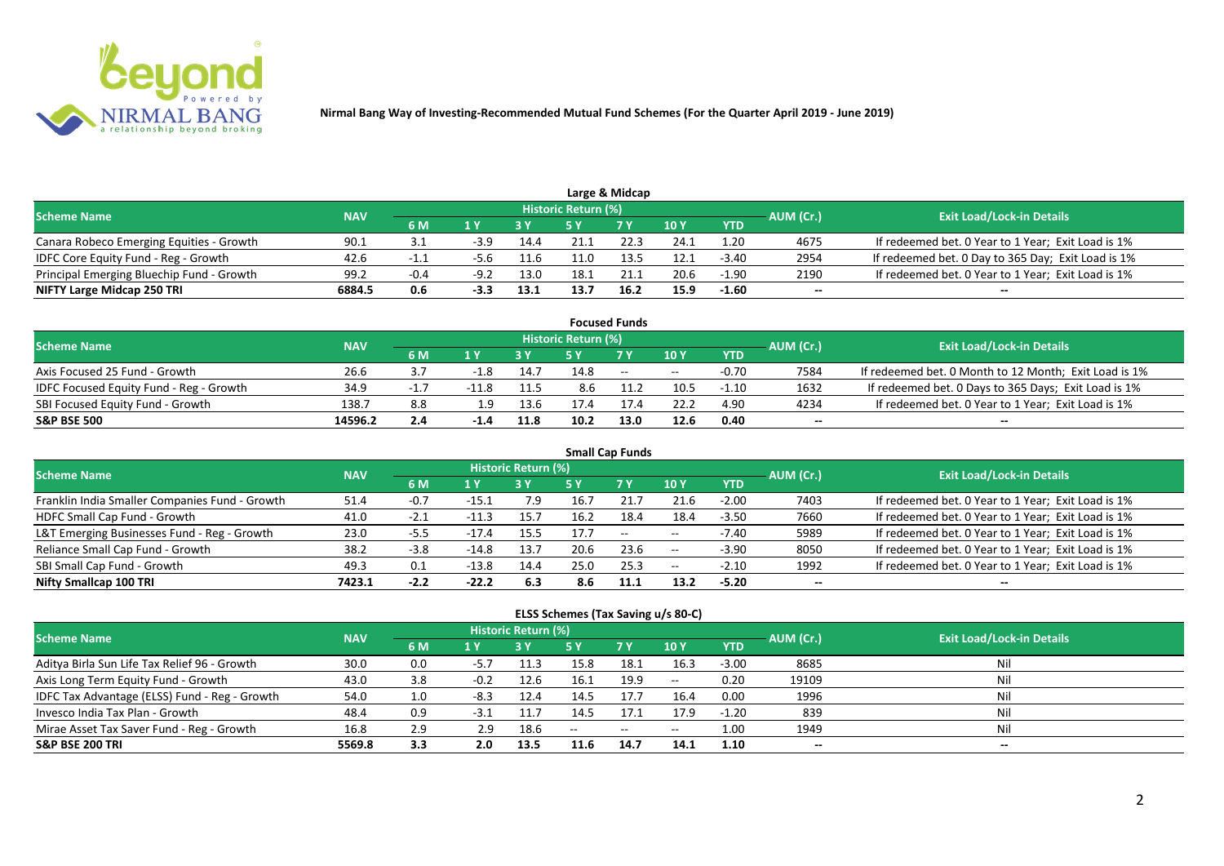

|                                           |            |        |        |      |                     | Large & Midcap |      |            |           |                                                    |
|-------------------------------------------|------------|--------|--------|------|---------------------|----------------|------|------------|-----------|----------------------------------------------------|
| <b>Scheme Name</b>                        | <b>NAV</b> |        |        |      | Historic Return (%) |                |      |            | AUM (Cr.) | <b>Exit Load/Lock-in Details</b>                   |
|                                           |            | 6 M    |        |      |                     | 7 V            | 10 Y | <b>YTD</b> |           |                                                    |
| Canara Robeco Emerging Equities - Growth  | 90.1       |        | $-3.9$ | 14.4 | 21.1                | 22.3           | 24.1 | . 20       | 4675      | If redeemed bet. 0 Year to 1 Year; Exit Load is 1% |
| IDFC Core Equity Fund - Reg - Growth      | 42.6       |        |        | 11.6 | 11.0                | 13.5           | 12.1 | $-3.40$    | 2954      | If redeemed bet. 0 Day to 365 Day; Exit Load is 1% |
| Principal Emerging Bluechip Fund - Growth | 99.2       | $-0.4$ | $-9.2$ | 13.0 | 18.1                |                | 20.6 | $-1.90$    | 2190      | If redeemed bet. 0 Year to 1 Year; Exit Load is 1% |
| NIFTY Large Midcap 250 TRI                | 6884.5     | 0.6    |        | 13.1 | 13.7                | 16.2           | 15.9 | $-1.60$    | --        | $- -$                                              |

|                                                |            |     |        |      |                     | <b>Focused Funds</b> |       |            |           |                                                       |
|------------------------------------------------|------------|-----|--------|------|---------------------|----------------------|-------|------------|-----------|-------------------------------------------------------|
| <b>Scheme Name</b>                             | <b>NAV</b> |     |        |      | Historic Return (%) |                      |       |            | AUM (Cr.) | <b>Exit Load/Lock-in Details</b>                      |
|                                                |            | 6 M | 1 V    |      |                     | 7 Y                  | 10Y   | <b>YTD</b> |           |                                                       |
| Axis Focused 25 Fund - Growth                  | 26.6       |     | $-1.8$ | 14.7 | 14.8                | $\sim$               | $- -$ | $-0.70$    | 7584      | If redeemed bet. 0 Month to 12 Month; Exit Load is 1% |
| <b>IDFC Focused Equity Fund - Reg - Growth</b> | 34.9       |     |        | 11.5 | 8.6                 |                      | 10.5  | $-1.10$    | 1632      | If redeemed bet. 0 Days to 365 Days; Exit Load is 1%  |
| SBI Focused Equity Fund - Growth               | 138.7      | 8.8 | 1.9    | 13.6 |                     |                      | 22.2  | 4.90       | 4234      | If redeemed bet. 0 Year to 1 Year; Exit Load is 1%    |
| <b>S&amp;P BSE 500</b>                         | 14596.2    | 2.4 | $-1.4$ | 11.8 | 10.2                | 13.0                 | 12.6  | 0.40       | --        | --                                                    |

| <b>Small Cap Funds</b>                         |            |        |         |                     |      |           |            |            |           |                                                    |  |  |  |
|------------------------------------------------|------------|--------|---------|---------------------|------|-----------|------------|------------|-----------|----------------------------------------------------|--|--|--|
| <b>Scheme Name</b>                             | <b>NAV</b> |        |         | Historic Return (%) |      |           |            |            | AUM (Cr.) | <b>Exit Load/Lock-in Details</b>                   |  |  |  |
|                                                |            | 6 M    | 1 Y     |                     | 5 Y  | <b>7Y</b> | 10Y        | <b>YTD</b> |           |                                                    |  |  |  |
| Franklin India Smaller Companies Fund - Growth | 51.4       | $-0.7$ | -15.1   | 7.9                 | 16.7 |           | 21.6       | $-2.00$    | 7403      | If redeemed bet. 0 Year to 1 Year; Exit Load is 1% |  |  |  |
| HDFC Small Cap Fund - Growth                   | 41.0       | $-2.1$ |         | 15.7                | 16.2 | 18.4      | 18.4       | $-3.50$    | 7660      | If redeemed bet. 0 Year to 1 Year; Exit Load is 1% |  |  |  |
| L&T Emerging Businesses Fund - Reg - Growth    | 23.0       | -5.5   | $-17.4$ | 15.5                | 17.7 | $\sim$    | $- -$      | $-7.40$    | 5989      | If redeemed bet. 0 Year to 1 Year; Exit Load is 1% |  |  |  |
| Reliance Small Cap Fund - Growth               | 38.2       | $-3.8$ | -14.8   | 13.7                | 20.6 | 23.6      | $\sim$ $-$ | $-3.90$    | 8050      | If redeemed bet. 0 Year to 1 Year; Exit Load is 1% |  |  |  |
| SBI Small Cap Fund - Growth                    | 49.3       | 0.1    | $-13.8$ | 14.4                | 25.0 | 25.3      | $- -$      | $-2.10$    | 1992      | If redeemed bet. 0 Year to 1 Year; Exit Load is 1% |  |  |  |
| Nifty Smallcap 100 TRI                         | 7423.1     | $-2.2$ | $-22.2$ | 6.3                 | 8.6  | 11.1      | 13.2       | $-5.20$    | $- -$     | --                                                 |  |  |  |

#### **ELSS Schemes (Tax Saving u/s 80-C)**

| <b>Scheme Name</b>                            | <b>NAV</b> |     |        | Historic Return (%) |      |            |                 | AUM (Cr.)  | <b>Exit Load/Lock-in Details</b> |       |
|-----------------------------------------------|------------|-----|--------|---------------------|------|------------|-----------------|------------|----------------------------------|-------|
|                                               |            | 6 M | 1 Y    |                     | 5 Y  | <b>7 Y</b> | 10 <sub>1</sub> | <b>YTD</b> |                                  |       |
| Aditya Birla Sun Life Tax Relief 96 - Growth  | 30.0       | 0.0 | $-5.7$ | 11.3                | 15.8 | 18.1       | 16.3            | $-3.00$    | 8685                             |       |
| Axis Long Term Equity Fund - Growth           | 43.0       | 3.8 | $-0.2$ | 12.6                | 16.1 | 19.9       | $\sim$ $-$      | 0.20       | 19109                            | Nil   |
| IDFC Tax Advantage (ELSS) Fund - Reg - Growth | 54.0       | 1.0 | $-8.3$ | 12.4                | 14.5 | 17.7       | 16.4            | 0.00       | 1996                             | Ni    |
| Invesco India Tax Plan - Growth               | 48.4       | 0.9 | -3.1   | 11.7                | 14.5 | 17.1       | 17.9            | $-1.20$    | 839                              | Ni    |
| Mirae Asset Tax Saver Fund - Reg - Growth     | 16.8       | 2.9 | 2.9    | 18.6                | $-$  | $--$       | $- -$           | 1.00       | 1949                             | Nil   |
| <b>S&amp;P BSE 200 TRI</b>                    | 5569.8     | 3.3 | 2.0    | 13.5                | 11.6 | 14.7       | 14.1            | 1.10       | --                               | $- -$ |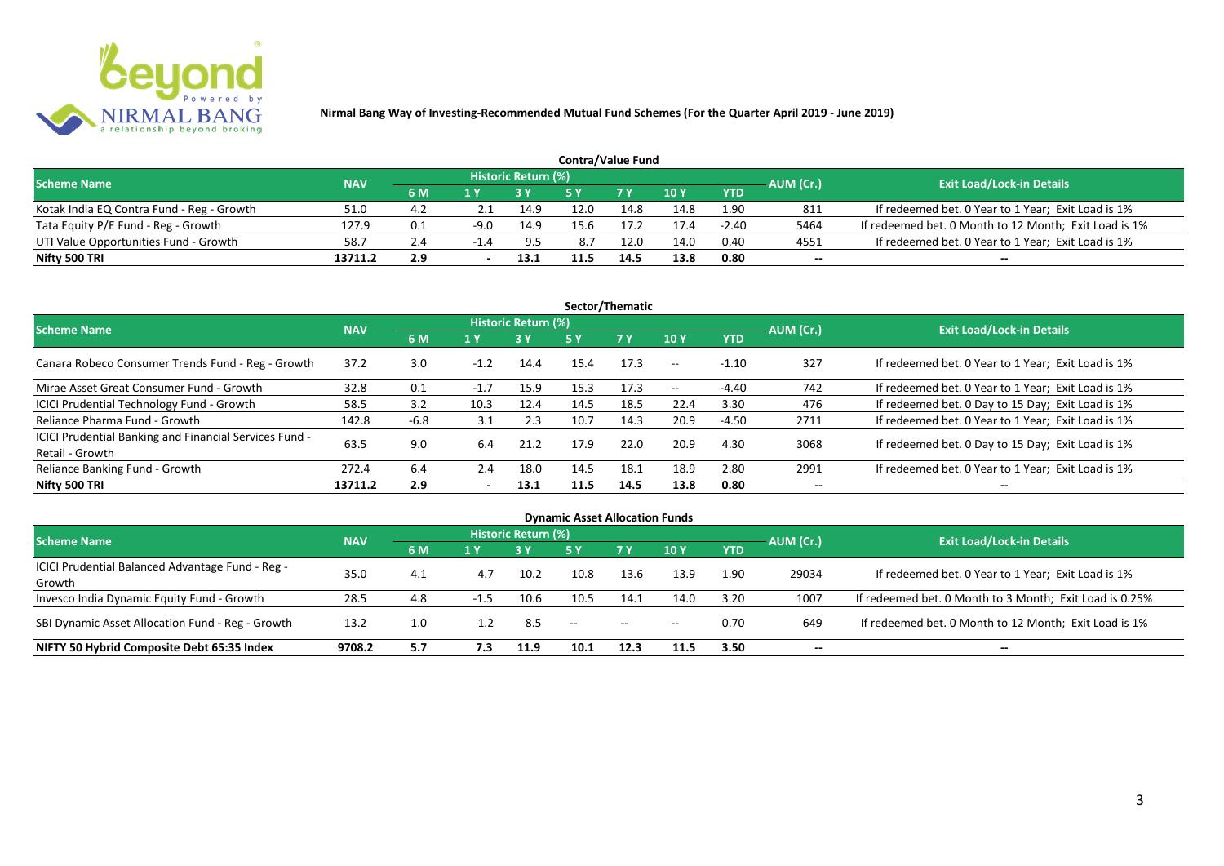

| <b>Contra/Value Fund</b>                  |            |     |        |                     |      |            |      |            |           |                                                       |  |  |  |
|-------------------------------------------|------------|-----|--------|---------------------|------|------------|------|------------|-----------|-------------------------------------------------------|--|--|--|
| <b>Scheme Name</b>                        | <b>NAV</b> |     |        | Historic Return (%) |      |            |      |            | AUM (Cr.) | <b>Exit Load/Lock-in Details</b>                      |  |  |  |
|                                           |            | 6 M | 1 Y    |                     |      | <b>7 Y</b> | 10Y  | <b>YTD</b> |           |                                                       |  |  |  |
| Kotak India EQ Contra Fund - Reg - Growth | 51.0       | 4.2 |        | 14.9                | 12.0 | 14.8       | 14.8 | 1.90       | 811       | If redeemed bet. 0 Year to 1 Year; Exit Load is 1%    |  |  |  |
| Tata Equity P/E Fund - Reg - Growth       | 127.9      | 0.1 | $-9.0$ | 14.9                | 15.6 |            | 17.4 | $-2.40$    | 5464      | If redeemed bet. 0 Month to 12 Month; Exit Load is 1% |  |  |  |
| UTI Value Opportunities Fund - Growth     | 58.7       | 2.4 |        | 9.5                 | 8.7  | 12.0       | 14.0 | 0.40       | 4551      | If redeemed bet. 0 Year to 1 Year; Exit Load is 1%    |  |  |  |
| Nifty 500 TRI                             | 13711.2    | 2.9 |        | 13.1                |      | 14.5       | 13.8 | 0.80       | --        | $- -$                                                 |  |  |  |

| Sector/Thematic                                                           |            |        |                          |                     |      |           |            |            |           |                                                    |  |  |  |
|---------------------------------------------------------------------------|------------|--------|--------------------------|---------------------|------|-----------|------------|------------|-----------|----------------------------------------------------|--|--|--|
| <b>Scheme Name</b>                                                        | <b>NAV</b> |        |                          | Historic Return (%) |      |           |            |            | AUM (Cr.) | <b>Exit Load/Lock-in Details</b>                   |  |  |  |
|                                                                           |            | 6 M    | 1 Y                      | <b>3Y</b>           | 5 Y  | <b>7Y</b> | <b>10Y</b> | <b>YTD</b> |           |                                                    |  |  |  |
| Canara Robeco Consumer Trends Fund - Reg - Growth                         | 37.2       | 3.0    | $-1.2$                   | 14.4                | 15.4 | 17.3      | $--$       | $-1.10$    | 327       | If redeemed bet. 0 Year to 1 Year; Exit Load is 1% |  |  |  |
| Mirae Asset Great Consumer Fund - Growth                                  | 32.8       | 0.1    | $-1.7$                   | 15.9                | 15.3 | 17.3      | $- -$      | $-4.40$    | 742       | If redeemed bet. 0 Year to 1 Year; Exit Load is 1% |  |  |  |
| <b>ICICI Prudential Technology Fund - Growth</b>                          | 58.5       | 3.2    | 10.3                     | 12.4                | 14.5 | 18.5      | 22.4       | 3.30       | 476       | If redeemed bet. 0 Day to 15 Day; Exit Load is 1%  |  |  |  |
| Reliance Pharma Fund - Growth                                             | 142.8      | $-6.8$ | 3.1                      | 2.3                 | 10.7 | 14.3      | 20.9       | $-4.50$    | 2711      | If redeemed bet. 0 Year to 1 Year; Exit Load is 1% |  |  |  |
| ICICI Prudential Banking and Financial Services Fund -<br>Retail - Growth | 63.5       | 9.0    | 6.4                      | 21.2                | 17.9 | 22.0      | 20.9       | 4.30       | 3068      | If redeemed bet. 0 Day to 15 Day; Exit Load is 1%  |  |  |  |
| Reliance Banking Fund - Growth                                            | 272.4      | 6.4    | 2.4                      | 18.0                | 14.5 | 18.1      | 18.9       | 2.80       | 2991      | If redeemed bet. 0 Year to 1 Year; Exit Load is 1% |  |  |  |
| Nifty 500 TRI                                                             | 13711.2    | 2.9    | $\overline{\phantom{a}}$ | 13.1                | 11.5 | 14.5      | 13.8       | 0.80       | $- -$     | $- -$                                              |  |  |  |

| <b>Dynamic Asset Allocation Funds</b>            |            |     |        |                            |                   |           |       |            |           |                                                         |  |  |  |
|--------------------------------------------------|------------|-----|--------|----------------------------|-------------------|-----------|-------|------------|-----------|---------------------------------------------------------|--|--|--|
| <b>Scheme Name</b>                               | <b>NAV</b> |     |        | <b>Historic Return (%)</b> |                   |           |       |            |           | <b>Exit Load/Lock-in Details</b>                        |  |  |  |
|                                                  |            | 6 M | 1 Y    |                            | <b>5Y</b>         | <b>7Y</b> | 10Y   | <b>YTD</b> | AUM (Cr.) |                                                         |  |  |  |
| ICICI Prudential Balanced Advantage Fund - Reg - | 35.0       |     |        | 10.2                       | 10.8              |           |       |            |           |                                                         |  |  |  |
| Growth                                           |            | 4.1 | 4.7    |                            |                   | 13.6      | 13.9  | 1.90       | 29034     | If redeemed bet. 0 Year to 1 Year; Exit Load is 1%      |  |  |  |
| Invesco India Dynamic Equity Fund - Growth       | 28.5       | 4.8 | $-1.5$ | 10.6                       | 10.5              | 14.1      | 14.0  | 3.20       | 1007      | If redeemed bet. 0 Month to 3 Month; Exit Load is 0.25% |  |  |  |
| SBI Dynamic Asset Allocation Fund - Reg - Growth | 13.2       | 1.0 |        | 8.5                        | $\hspace{0.05cm}$ | $\sim$    | $- -$ | 0.70       | 649       | If redeemed bet. 0 Month to 12 Month; Exit Load is 1%   |  |  |  |
| NIFTY 50 Hybrid Composite Debt 65:35 Index       | 9708.2     | 5.7 | 7.3    | 11.9                       | 10.1              | 12.3      | 11.5  | 3.50       | --        | --                                                      |  |  |  |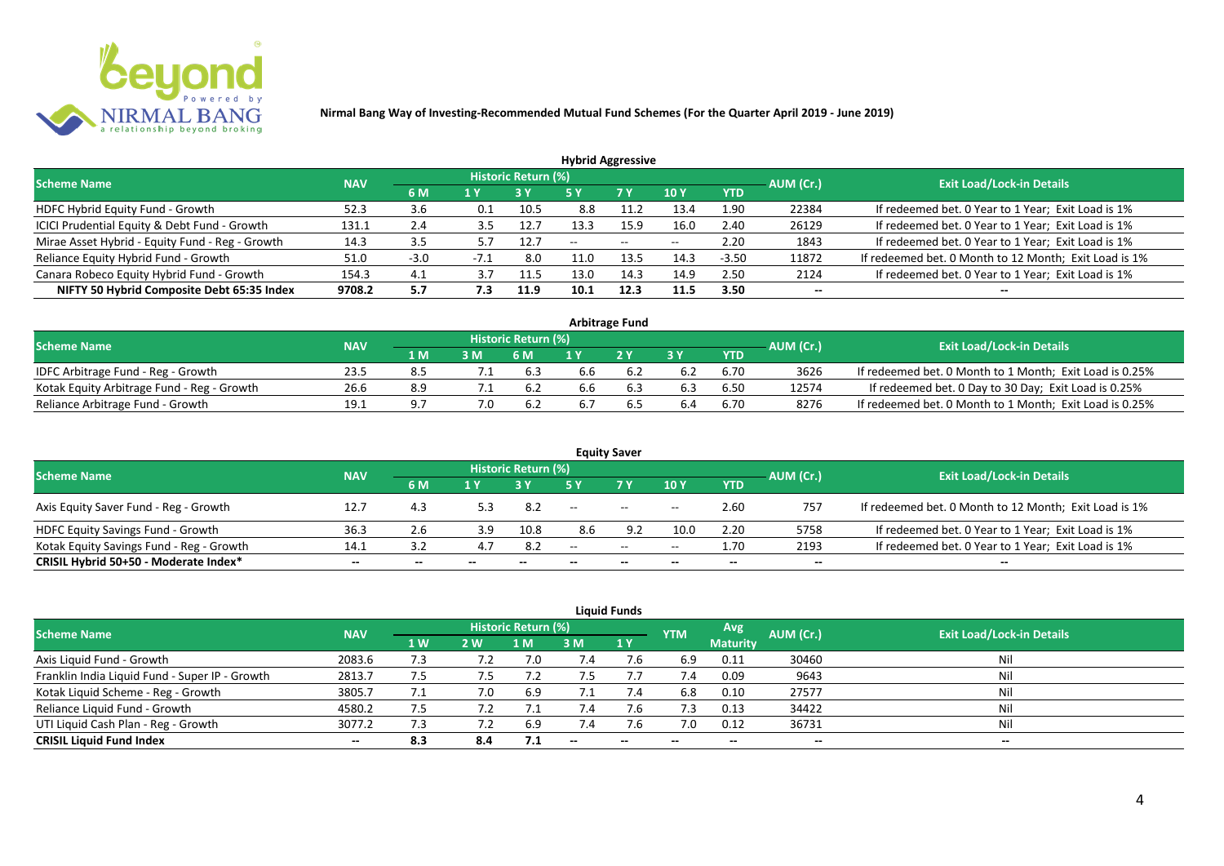

| <b>Hybrid Aggressive</b>                        |            |        |        |                            |                          |        |       |            |           |                                                       |  |  |  |
|-------------------------------------------------|------------|--------|--------|----------------------------|--------------------------|--------|-------|------------|-----------|-------------------------------------------------------|--|--|--|
| <b>Scheme Name</b>                              | <b>NAV</b> |        |        | <b>Historic Return (%)</b> |                          |        |       |            | AUM (Cr.) | <b>Exit Load/Lock-in Details</b>                      |  |  |  |
|                                                 |            | 6 M    | 1 Y    |                            | 5 Y                      | 7 Y    | 10 Y  | <b>YTD</b> |           |                                                       |  |  |  |
| HDFC Hybrid Equity Fund - Growth                | 52.3       | 3.6    | 0.1    | 10.5                       | 8.8                      | 11.2   | 13.4  | 1.90       | 22384     | If redeemed bet. 0 Year to 1 Year; Exit Load is 1%    |  |  |  |
| ICICI Prudential Equity & Debt Fund - Growth    | 131.1      | 2.4    | 3.5    | 12.7                       | 13.3                     | 15.9   | 16.0  | 2.40       | 26129     | If redeemed bet. 0 Year to 1 Year; Exit Load is 1%    |  |  |  |
| Mirae Asset Hybrid - Equity Fund - Reg - Growth | 14.3       | 3.5    |        | 12.7                       | $\overline{\phantom{m}}$ | $\sim$ | $- -$ | 2.20       | 1843      | If redeemed bet. 0 Year to 1 Year; Exit Load is 1%    |  |  |  |
| Reliance Equity Hybrid Fund - Growth            | 51.0       | $-3.0$ | $-7.1$ | 8.0                        |                          | 13.5   | 14.3  | $-3.50$    | 11872     | If redeemed bet. 0 Month to 12 Month; Exit Load is 1% |  |  |  |
| Canara Robeco Equity Hybrid Fund - Growth       | 154.3      | 4.1    | 3.7    | 11.5                       | 13.0                     | 14.3   | 14.9  | 2.50       | 2124      | If redeemed bet. 0 Year to 1 Year; Exit Load is 1%    |  |  |  |
| NIFTY 50 Hybrid Composite Debt 65:35 Index      | 9708.2     | 5.7    | 7.3    | 11.9                       | 10.1                     | 12.3   | 11.5  | 3.50       |           |                                                       |  |  |  |
|                                                 |            |        |        |                            |                          |        |       |            |           |                                                       |  |  |  |

| <b>Arbitrage Fund</b>                      |            |      |  |                            |     |     |     |            |           |                                                         |  |  |  |
|--------------------------------------------|------------|------|--|----------------------------|-----|-----|-----|------------|-----------|---------------------------------------------------------|--|--|--|
| <b>Scheme Name</b>                         | <b>NAV</b> |      |  | <b>Historic Return (%)</b> |     |     |     |            | AUM (Cr.) | <b>Exit Load/Lock-in Details</b>                        |  |  |  |
|                                            |            | 1 M. |  | 6 M                        |     | 2V  |     | <b>YTD</b> |           |                                                         |  |  |  |
| IDFC Arbitrage Fund - Reg - Growth         | 23.5       | 8.5  |  | 6.3                        | b.6 |     | 6.2 | 6.70       | 3626      | If redeemed bet. 0 Month to 1 Month; Exit Load is 0.25% |  |  |  |
| Kotak Equity Arbitrage Fund - Reg - Growth | 26.6       | 8.9  |  | 6.2                        | 6.6 | 6.3 | 6.3 | 6.50       | 12574     | If redeemed bet. 0 Day to 30 Day; Exit Load is 0.25%    |  |  |  |
| Reliance Arbitrage Fund - Growth           | 19.1       | a 7  |  | 6.2                        |     |     | 6.4 | 6.70       | 8276      | If redeemed bet. 0 Month to 1 Month; Exit Load is 0.25% |  |  |  |

|                                          |            |     |     |                     |       | <b>Equity Saver</b>      |                 |            |           |                                                       |
|------------------------------------------|------------|-----|-----|---------------------|-------|--------------------------|-----------------|------------|-----------|-------------------------------------------------------|
| <b>Scheme Name</b>                       | <b>NAV</b> |     |     | Historic Return (%) |       |                          |                 |            | AUM (Cr.) | <b>Exit Load/Lock-in Details</b>                      |
|                                          |            | 6 M | 1 V |                     |       | 7 Y.                     | 10Y             | <b>YTD</b> |           |                                                       |
| Axis Equity Saver Fund - Reg - Growth    | 12.7       | 4.3 |     | 8.2                 | $- -$ | $\sim$                   | $- -$           | 2.60       | 757       | If redeemed bet. 0 Month to 12 Month; Exit Load is 1% |
| HDFC Equity Savings Fund - Growth        | 36.3       | 2.6 | 3.9 | 10.8                |       |                          | 10 <sub>c</sub> | 2.20       | 5758      | If redeemed bet. 0 Year to 1 Year; Exit Load is 1%    |
| Kotak Equity Savings Fund - Reg - Growth | 14.1       |     |     | 8.2                 | $- -$ | $\sim$                   | $- -$           | 1.70       | 2193      | If redeemed bet. 0 Year to 1 Year; Exit Load is 1%    |
| CRISIL Hybrid 50+50 - Moderate Index*    | $- -$      | --  | $-$ | $- -$               | --    | $\overline{\phantom{a}}$ | $- -$           | $- -$      | $-$       | $- -$                                                 |

| <b>Liquid Funds</b>                            |            |                |     |                            |            |             |            |                 |           |                                  |  |  |  |
|------------------------------------------------|------------|----------------|-----|----------------------------|------------|-------------|------------|-----------------|-----------|----------------------------------|--|--|--|
| Scheme Name                                    | <b>NAV</b> |                |     | <b>Historic Return (%)</b> |            |             | <b>YTM</b> | Avg             | AUM (Cr.) | <b>Exit Load/Lock-in Details</b> |  |  |  |
|                                                |            | 1 <sub>W</sub> | 2 W | 1 M                        | 3 M        | <b>71 Y</b> |            | <b>Maturity</b> |           |                                  |  |  |  |
| Axis Liquid Fund - Growth                      | 2083.6     | 7.3            |     |                            | $\angle 4$ |             | 6.9        | 0.11            | 30460     | Nil                              |  |  |  |
| Franklin India Liquid Fund - Super IP - Growth | 2813.7     | 7.5            | 7.5 |                            |            |             | 7.4        | 0.09            | 9643      | Nil                              |  |  |  |
| Kotak Liquid Scheme - Reg - Growth             | 3805.7     | 7.1            | 7.0 | 6.9                        |            | 7.4         | 6.8        | 0.10            | 27577     | Nil                              |  |  |  |
| Reliance Liquid Fund - Growth                  | 4580.2     | 7.5            |     |                            | 7.4        | 7.b         | 7.3        | 0.13            | 34422     | Nil                              |  |  |  |
| UTI Liquid Cash Plan - Reg - Growth            | 3077.2     | 7.3            |     | 6.9                        | 7.4        |             | 7.0        | 0.12            | 36731     | Nil                              |  |  |  |
| <b>CRISIL Liquid Fund Index</b>                | $- -$      | 8.3            | 8.4 | 7.1                        | $-$        | $- -$       | $- -$      | $- -$           | $- -$     | $\sim$                           |  |  |  |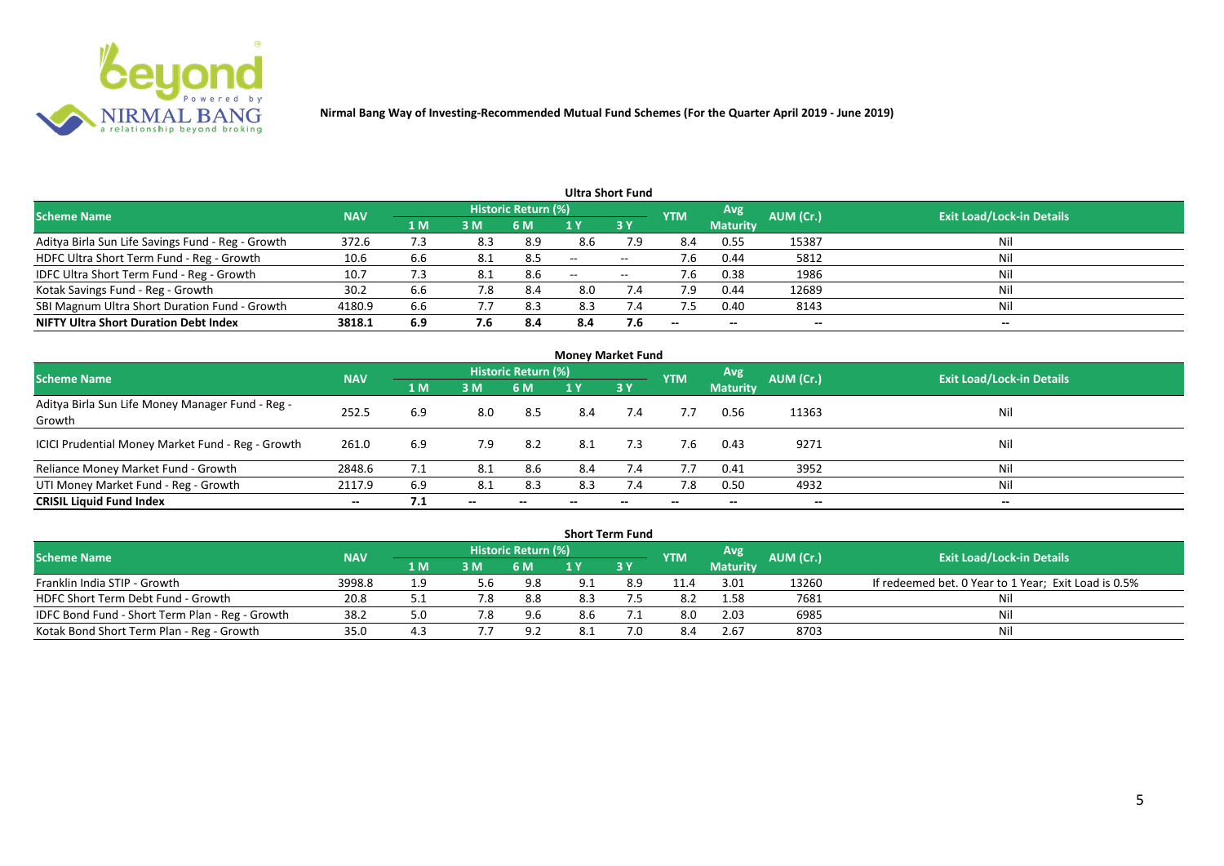

|                                                   |            |                |     |                            |                          | <b>Ultra Short Fund</b>  |            |                          |           |                                  |
|---------------------------------------------------|------------|----------------|-----|----------------------------|--------------------------|--------------------------|------------|--------------------------|-----------|----------------------------------|
| <b>Scheme Name</b>                                | <b>NAV</b> |                |     | <b>Historic Return (%)</b> |                          |                          | <b>YTM</b> | Avg                      | AUM (Cr.) | <b>Exit Load/Lock-in Details</b> |
|                                                   |            | 1 <sub>M</sub> | 3 M | 6 M                        |                          | 3Y                       |            | <b>Maturity</b>          |           |                                  |
| Aditya Birla Sun Life Savings Fund - Reg - Growth | 372.6      | 7.3            | 8.3 | 8.9                        | 8.6                      | 7.9                      | 8.4        | 0.55                     | 15387     | Nil                              |
| HDFC Ultra Short Term Fund - Reg - Growth         | 10.6       | 6.6            | 8.1 | 8.5                        | $\overline{\phantom{a}}$ | $\overline{\phantom{a}}$ | 7.6        | 0.44                     | 5812      | Nil                              |
| IDFC Ultra Short Term Fund - Reg - Growth         | 10.7       |                | 8.1 | 8.6                        | $\overline{\phantom{a}}$ | $\overline{\phantom{a}}$ | 7.6        | 0.38                     | 1986      | Nil                              |
| Kotak Savings Fund - Reg - Growth                 | 30.2       | 6.6            | 7.8 | 8.4                        | 8.0                      | 7.4                      | 7.9        | 0.44                     | 12689     | Nil                              |
| SBI Magnum Ultra Short Duration Fund - Growth     | 4180.9     | 6.6            | 7.7 | 8.3                        | 8.3                      | 7.4                      | 7.5        | 0.40                     | 8143      | Nil                              |
| <b>NIFTY Ultra Short Duration Debt Index</b>      | 3818.1     | 6.9            | 7.6 | 8.4                        | 8.4                      | 7.6                      | $- -$      | $\overline{\phantom{a}}$ | --        | $- -$                            |

| <b>Money Market Fund</b>                                   |            |                |       |                     |     |           |            |                 |           |                                  |  |  |  |
|------------------------------------------------------------|------------|----------------|-------|---------------------|-----|-----------|------------|-----------------|-----------|----------------------------------|--|--|--|
| <b>Scheme Name</b>                                         | <b>NAV</b> |                |       | Historic Return (%) |     |           | <b>YTM</b> | Avg             | AUM (Cr.) | <b>Exit Load/Lock-in Details</b> |  |  |  |
|                                                            |            | 1 <sub>M</sub> | 3 M   | 6 M                 | 1 Y | <b>3Y</b> |            | <b>Maturity</b> |           |                                  |  |  |  |
| Aditya Birla Sun Life Money Manager Fund - Reg -<br>Growth | 252.5      | 6.9            | 8.0   | 8.5                 | 8.4 | 7.4       | 7.7        | 0.56            | 11363     | Nil                              |  |  |  |
| ICICI Prudential Money Market Fund - Reg - Growth          | 261.0      | 6.9            | 7.9   | -8.2                | 8.1 | 7.3       | 7.6        | 0.43            | 9271      | Nil                              |  |  |  |
| Reliance Money Market Fund - Growth                        | 2848.6     | 7.1            | 8.1   | 8.6                 | 8.4 | 7.4       | 7.7        | 0.41            | 3952      | Nil                              |  |  |  |
| UTI Money Market Fund - Reg - Growth                       | 2117.9     | 6.9            | 8.1   | 8.3                 | 8.3 | 7.4       | 7.8        | 0.50            | 4932      | Nil                              |  |  |  |
| <b>CRISIL Liquid Fund Index</b>                            | $- -$      | 7.1            | $- -$ |                     |     |           | --         | $- -$           | $- -$     | $- -$                            |  |  |  |

| <b>Short Term Fund</b>                          |            |     |     |                            |     |           |            |                 |           |                                                      |  |  |
|-------------------------------------------------|------------|-----|-----|----------------------------|-----|-----------|------------|-----------------|-----------|------------------------------------------------------|--|--|
| <b>Scheme Name</b>                              | <b>NAV</b> |     |     | <b>Historic Return (%)</b> |     |           | <b>YTM</b> | <b>Avg</b>      | AUM (Cr.) | <b>Exit Load/Lock-in Details</b>                     |  |  |
|                                                 |            | 1 M | 3M  | '6 M                       |     | <b>3Y</b> |            | <b>Maturity</b> |           |                                                      |  |  |
| Franklin India STIP - Growth                    | 3998.8     |     | 5.6 | 9.8                        | Q 1 | 8.9       | 11.4       | 3.01            | 13260     | If redeemed bet. 0 Year to 1 Year; Exit Load is 0.5% |  |  |
| HDFC Short Term Debt Fund - Growth              | 20.8       |     | 7.8 | 8.8                        | 8.3 |           | -8.2       | 1.58            | 7681      |                                                      |  |  |
| IDFC Bond Fund - Short Term Plan - Reg - Growth | 38.2       |     | 7.8 | 9.6                        | 8.6 |           | 8.0        | 2.03            | 6985      | Nil                                                  |  |  |
| Kotak Bond Short Term Plan - Reg - Growth       | 35.0       | 4.3 |     | 9.2                        |     |           | 8.4        | 2.67            | 8703      | Nil                                                  |  |  |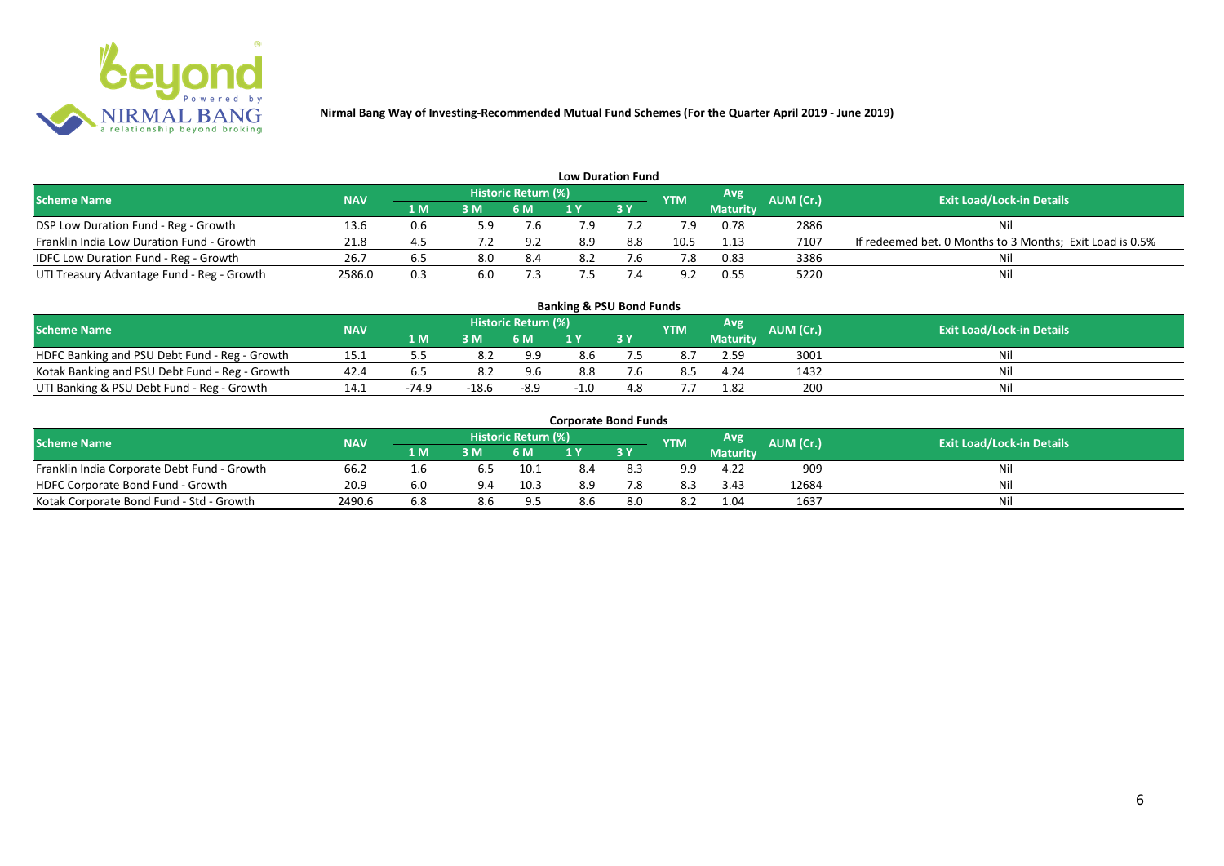

| <b>Low Duration Fund</b>                   |            |     |                |                     |     |             |                |                 |           |                                                          |  |  |  |
|--------------------------------------------|------------|-----|----------------|---------------------|-----|-------------|----------------|-----------------|-----------|----------------------------------------------------------|--|--|--|
| <b>Scheme Name</b>                         | <b>NAV</b> |     |                | Historic Return (%) |     |             | <b>YTM</b>     | <b>Avg</b>      | AUM (Cr.) | <b>Exit Load/Lock-in Details</b>                         |  |  |  |
|                                            |            | 1 M | 3 <sub>N</sub> | 6 M                 |     | <b>73 Y</b> |                | <b>Maturity</b> |           |                                                          |  |  |  |
| DSP Low Duration Fund - Reg - Growth       | 13.6       | 0.6 | 5.9            | 7.b                 | 7.9 |             |                | 0.78            | 2886      | Nil                                                      |  |  |  |
| Franklin India Low Duration Fund - Growth  | 21.8       | 4.5 |                | 9.2                 | 8.9 | 8.8         | 10.5           | 1.13            | 7107      | If redeemed bet. 0 Months to 3 Months; Exit Load is 0.5% |  |  |  |
| IDFC Low Duration Fund - Reg - Growth      | 26.7       |     | 8.0            | 8.4                 |     |             |                | 0.83            | 3386      | Nil                                                      |  |  |  |
| UTI Treasury Advantage Fund - Reg - Growth | 2586.0     | 0.3 | 6.0            |                     |     |             | Q <sub>2</sub> | 0.55            | 5220      | Nil                                                      |  |  |  |

#### **1 M 3 M 6 M 1 Y 3 Y 5.5 8.2 9.9 8.6 7.** NOFC Banking and PSU Debt Fund - Reg - Growth 15.1 5.5 8.2 9.9 8.6 7.5 8.7 2.59 3001 Nil<br>
Kotak Banking and PSU Debt Fund - Reg - Growth 42.4 6.5 8.2 9.6 8.8 7.6 8.5 4.24 1432 Nil Kotak Banking and PSU Debt Fund - Reg - Growth 42.4 6.5 8.2 9.6 8.8 7.6 8.5 4.24 1432<br>
UTI Banking & PSU Debt Fund - Reg - Growth 14.1 - 74.9 - 18.6 - 8.9 - 1.0 4.8 7.7 1.82 200 UTI Banking & PSU Debt Fund - Reg - Growth 14.1 -74.9 -18.6 -8.9 -1.0 4.8 7.7 1.82 200 Nil **Banking & PSU Bond Funds Scheme Name NAV AUM AUM AUM AUM AUM AUM AUM AUM AUM Exit Load/Lock-in Details**<br>**AUM AUM AUM AUM AUM AUM AUM AUM Exit Load/Lock-in Details Historic Return (%) Maturity**

| <b>Corporate Bond Funds</b> |  |
|-----------------------------|--|
|-----------------------------|--|

| <b>Scheme Name</b>                          | <b>NAV</b> |      |     | <b>Historic Return (%)</b> |     |      | <b>YTM</b> | Avg             | AUM (Cr.) | <b>Exit Load/Lock-in Details</b> |
|---------------------------------------------|------------|------|-----|----------------------------|-----|------|------------|-----------------|-----------|----------------------------------|
|                                             |            | 1 M. | 3 M | 6 M                        | . . | 2V   |            | <b>Maturity</b> |           |                                  |
| Franklin India Corporate Debt Fund - Growth | 66.2       | T.O  |     | 10.1                       |     | ర. - | 9.9        | 4.22            | 909       | Ni                               |
| HDFC Corporate Bond Fund - Growth           | 20.9       | 6.0  |     | 10.5                       | 8.9 |      | -8.3       | 3.43            | 12684     | Mil                              |
| Kotak Corporate Bond Fund - Std - Growth    | 2490.6     | 6.8  |     | - വ                        |     | 8.0  | 8.2        | 1.04            | 1637      | Nii                              |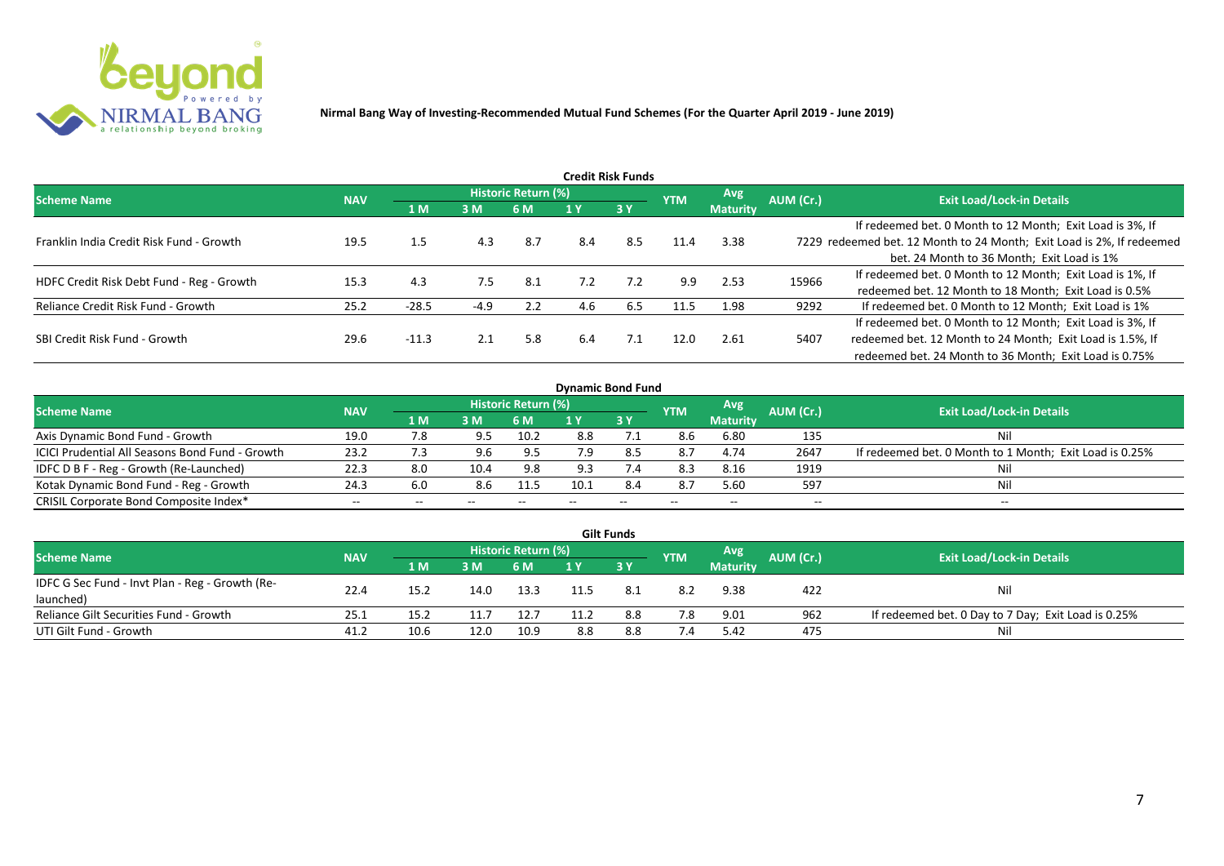

| <b>Credit Risk Funds</b>                  |            |         |        |                     |     |     |            |                 |           |                                                                       |  |  |  |
|-------------------------------------------|------------|---------|--------|---------------------|-----|-----|------------|-----------------|-----------|-----------------------------------------------------------------------|--|--|--|
| <b>Scheme Name</b>                        | <b>NAV</b> |         |        | Historic Return (%) |     |     | <b>YTM</b> | Avg.            | AUM (Cr.) | <b>Exit Load/Lock-in Details</b>                                      |  |  |  |
|                                           |            | 1 M     | 3 M    | 6 M                 | 1 Y | 3Y  |            | <b>Maturity</b> |           |                                                                       |  |  |  |
|                                           |            |         |        |                     |     |     |            |                 |           | If redeemed bet. 0 Month to 12 Month; Exit Load is 3%, If             |  |  |  |
| Franklin India Credit Risk Fund - Growth  | 19.5       | 1.5     | 4.3    | 8.7                 | 8.4 | 8.5 | 11.4       | 3.38            |           | 7229 redeemed bet. 12 Month to 24 Month; Exit Load is 2%, If redeemed |  |  |  |
|                                           |            |         |        |                     |     |     |            |                 |           | bet. 24 Month to 36 Month; Exit Load is 1%                            |  |  |  |
| HDFC Credit Risk Debt Fund - Reg - Growth | 15.3       | 4.3     | 7.5    | 8.1                 | 7.2 | 7.2 | 9.9        | 2.53            | 15966     | If redeemed bet. 0 Month to 12 Month; Exit Load is 1%, If             |  |  |  |
|                                           |            |         |        |                     |     |     |            |                 |           | redeemed bet. 12 Month to 18 Month; Exit Load is 0.5%                 |  |  |  |
| Reliance Credit Risk Fund - Growth        | 25.2       | $-28.5$ | $-4.9$ | 2.2                 | 4.6 | 6.5 | 11.5       | 1.98            | 9292      | If redeemed bet. 0 Month to 12 Month; Exit Load is 1%                 |  |  |  |
|                                           |            |         |        |                     |     |     |            |                 |           | If redeemed bet. 0 Month to 12 Month; Exit Load is 3%, If             |  |  |  |
| SBI Credit Risk Fund - Growth             | 29.6       | $-11.3$ | 2.1    | 5.8                 | 6.4 | 7.1 | 12.0       | 2.61            | 5407      | redeemed bet. 12 Month to 24 Month; Exit Load is 1.5%, If             |  |  |  |
|                                           |            |         |        |                     |     |     |            |                 |           | redeemed bet. 24 Month to 36 Month; Exit Load is 0.75%                |  |  |  |

| <b>Dynamic Bond Fund</b>                        |            |     |                |                            |      |               |            |                 |           |                                                         |  |  |  |
|-------------------------------------------------|------------|-----|----------------|----------------------------|------|---------------|------------|-----------------|-----------|---------------------------------------------------------|--|--|--|
| <b>Scheme Name</b>                              | <b>NAV</b> |     |                | <b>Historic Return (%)</b> |      |               | <b>YTM</b> | Avg             | AUM (Cr.) | <b>Exit Load/Lock-in Details</b>                        |  |  |  |
|                                                 |            | 1 M | 3 <sub>N</sub> | 6 M                        |      | 3Y            |            | <b>Maturity</b> |           |                                                         |  |  |  |
| Axis Dynamic Bond Fund - Growth                 | 19.0       | /.8 |                | 10.2                       | 8.8  |               | 8.6        | 6.80            | 135       | Nil                                                     |  |  |  |
| ICICI Prudential All Seasons Bond Fund - Growth | 23.2       | 7.3 |                | 9.5                        | 7.9  |               | 8.7        | 4.74            | 2647      | If redeemed bet. 0 Month to 1 Month; Exit Load is 0.25% |  |  |  |
| IDFC D B F - Reg - Growth (Re-Launched)         | 22.3       | 8.0 | 10.4           | 9.8                        |      | $\mathcal{A}$ | 8.3        | 8.16            | 1919      | Nil                                                     |  |  |  |
| Kotak Dynamic Bond Fund - Reg - Growth          | 24.3       | 6.0 |                | 11.5                       | 10.1 | 8.4           | 8.7        | 5.60            | 597       | Nil                                                     |  |  |  |
| CRISIL Corporate Bond Composite Index*          | $- -$      |     | --             |                            |      | $- -$         | $- -$      | --              | --        | $- -$                                                   |  |  |  |

| <b>Gilt Funds</b>                               |            |      |      |                            |      |      |            |                 |           |                                                     |  |  |  |
|-------------------------------------------------|------------|------|------|----------------------------|------|------|------------|-----------------|-----------|-----------------------------------------------------|--|--|--|
| <b>Scheme Name</b>                              | <b>NAV</b> |      |      | <b>Historic Return (%)</b> |      |      | <b>YTM</b> | Avg             | AUM (Cr.) | <b>Exit Load/Lock-in Details</b>                    |  |  |  |
|                                                 |            | 1 M  | 3M   | 6 M                        | 1 Y  | 3Y   |            | <b>Maturity</b> |           |                                                     |  |  |  |
| IDFC G Sec Fund - Invt Plan - Reg - Growth (Re- | 22.4       | 15.2 | 14.0 | 13.3                       | 11.5 | -8.1 | 8.2        | 9.38            | 422       | Nil                                                 |  |  |  |
| launched)                                       |            |      |      |                            |      |      |            |                 |           |                                                     |  |  |  |
| Reliance Gilt Securities Fund - Growth          | 25.1       | 15.2 | 11.7 | 12.7                       | 11.2 | 8.8  | 7.8        | 9.01            | 962       | If redeemed bet. 0 Day to 7 Day; Exit Load is 0.25% |  |  |  |
| UTI Gilt Fund - Growth                          | 41.2       | 10.6 | 12.0 | 10.9                       | 8.8  | 8.8  | 7.4        | 5.42            | 475       | Nil                                                 |  |  |  |